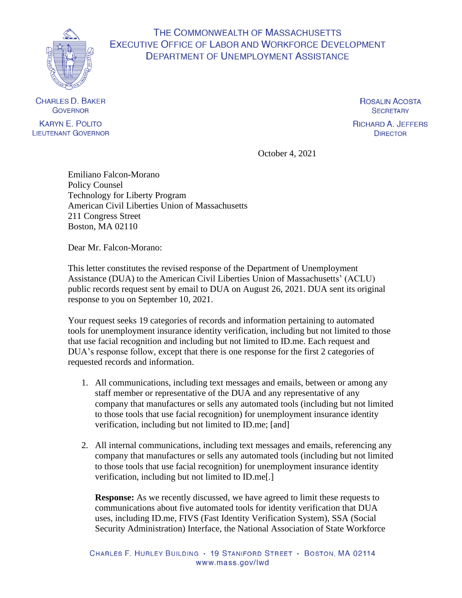

## THE COMMONWEALTH OF MASSACHUSETTS **EXECUTIVE OFFICE OF LABOR AND WORKFORCE DEVELOPMENT DEPARTMENT OF UNEMPLOYMENT ASSISTANCE**

**CHARLES D. BAKER GOVERNOR KARYN E. POLITO** 

**LIEUTENANT GOVERNOR** 

**ROSALIN ACOSTA SECRETARY** 

**RICHARD A. JEFFERS DIRECTOR** 

October 4, 2021

Emiliano Falcon-Morano Policy Counsel Technology for Liberty Program American Civil Liberties Union of Massachusetts 211 Congress Street Boston, MA 02110

Dear Mr. Falcon-Morano:

This letter constitutes the revised response of the Department of Unemployment Assistance (DUA) to the American Civil Liberties Union of Massachusetts' (ACLU) public records request sent by email to DUA on August 26, 2021. DUA sent its original response to you on September 10, 2021.

Your request seeks 19 categories of records and information pertaining to automated tools for unemployment insurance identity verification, including but not limited to those that use facial recognition and including but not limited to ID.me. Each request and DUA's response follow, except that there is one response for the first 2 categories of requested records and information.

- 1. All communications, including text messages and emails, between or among any staff member or representative of the DUA and any representative of any company that manufactures or sells any automated tools (including but not limited to those tools that use facial recognition) for unemployment insurance identity verification, including but not limited to ID.me; [and]
- 2. All internal communications, including text messages and emails, referencing any company that manufactures or sells any automated tools (including but not limited to those tools that use facial recognition) for unemployment insurance identity verification, including but not limited to ID.me[.]

**Response:** As we recently discussed, we have agreed to limit these requests to communications about five automated tools for identity verification that DUA uses, including ID.me, FIVS (Fast Identity Verification System), SSA (Social Security Administration) Interface, the National Association of State Workforce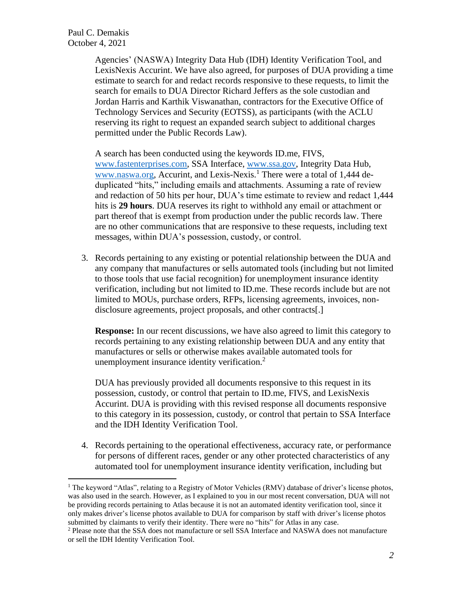Paul C. Demakis October 4, 2021

> Agencies' (NASWA) Integrity Data Hub (IDH) Identity Verification Tool, and LexisNexis Accurint. We have also agreed, for purposes of DUA providing a time estimate to search for and redact records responsive to these requests, to limit the search for emails to DUA Director Richard Jeffers as the sole custodian and Jordan Harris and Karthik Viswanathan, contractors for the Executive Office of Technology Services and Security (EOTSS), as participants (with the ACLU reserving its right to request an expanded search subject to additional charges permitted under the Public Records Law).

> A search has been conducted using the keywords ID.me, FIVS, [www.fastenterprises.com,](http://www.fastenterprises.com/) SSA Interface, [www.ssa.gov,](http://www.ssa.gov/) Integrity Data Hub, [www.naswa.org,](http://www.naswa.org/) Accurint, and Lexis-Nexis.<sup>1</sup> There were a total of 1,444 deduplicated "hits," including emails and attachments. Assuming a rate of review and redaction of 50 hits per hour, DUA's time estimate to review and redact 1,444 hits is **29 hours**. DUA reserves its right to withhold any email or attachment or part thereof that is exempt from production under the public records law. There are no other communications that are responsive to these requests, including text messages, within DUA's possession, custody, or control.

3. Records pertaining to any existing or potential relationship between the DUA and any company that manufactures or sells automated tools (including but not limited to those tools that use facial recognition) for unemployment insurance identity verification, including but not limited to ID.me. These records include but are not limited to MOUs, purchase orders, RFPs, licensing agreements, invoices, nondisclosure agreements, project proposals, and other contracts[.]

**Response:** In our recent discussions, we have also agreed to limit this category to records pertaining to any existing relationship between DUA and any entity that manufactures or sells or otherwise makes available automated tools for unemployment insurance identity verification.<sup>2</sup>

DUA has previously provided all documents responsive to this request in its possession, custody, or control that pertain to ID.me, FIVS, and LexisNexis Accurint. DUA is providing with this revised response all documents responsive to this category in its possession, custody, or control that pertain to SSA Interface and the IDH Identity Verification Tool.

4. Records pertaining to the operational effectiveness, accuracy rate, or performance for persons of different races, gender or any other protected characteristics of any automated tool for unemployment insurance identity verification, including but

 $<sup>1</sup>$  The keyword "Atlas", relating to a Registry of Motor Vehicles (RMV) database of driver's license photos,</sup> was also used in the search. However, as I explained to you in our most recent conversation, DUA will not be providing records pertaining to Atlas because it is not an automated identity verification tool, since it only makes driver's license photos available to DUA for comparison by staff with driver's license photos submitted by claimants to verify their identity. There were no "hits" for Atlas in any case.

<sup>&</sup>lt;sup>2</sup> Please note that the SSA does not manufacture or sell SSA Interface and NASWA does not manufacture or sell the IDH Identity Verification Tool.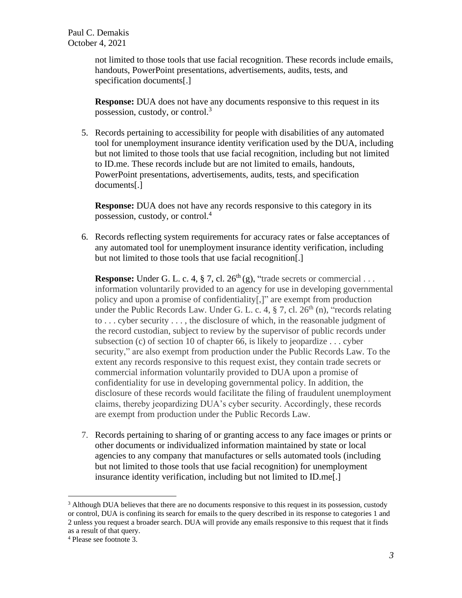not limited to those tools that use facial recognition. These records include emails, handouts, PowerPoint presentations, advertisements, audits, tests, and specification documents[.]

**Response:** DUA does not have any documents responsive to this request in its possession, custody, or control.<sup>3</sup>

5. Records pertaining to accessibility for people with disabilities of any automated tool for unemployment insurance identity verification used by the DUA, including but not limited to those tools that use facial recognition, including but not limited to ID.me. These records include but are not limited to emails, handouts, PowerPoint presentations, advertisements, audits, tests, and specification documents[.]

**Response:** DUA does not have any records responsive to this category in its possession, custody, or control.<sup>4</sup>

6. Records reflecting system requirements for accuracy rates or false acceptances of any automated tool for unemployment insurance identity verification, including but not limited to those tools that use facial recognition[.]

**Response:** Under G. L. c. 4,  $\S$  7, cl. 26<sup>th</sup> (g), "trade secrets or commercial ... information voluntarily provided to an agency for use in developing governmental policy and upon a promise of confidentiality[,]" are exempt from production under the Public Records Law. Under G. L. c. 4,  $\S$  7, cl.  $26<sup>th</sup>$  (n), "records relating to . . . cyber security . . . , the disclosure of which, in the reasonable judgment of the record custodian, subject to review by the supervisor of public records under subsection (c) of section 10 of chapter 66, is likely to jeopardize . . . cyber security," are also exempt from production under the Public Records Law. To the extent any records responsive to this request exist, they contain trade secrets or commercial information voluntarily provided to DUA upon a promise of confidentiality for use in developing governmental policy. In addition, the disclosure of these records would facilitate the filing of fraudulent unemployment claims, thereby jeopardizing DUA's cyber security. Accordingly, these records are exempt from production under the Public Records Law.

7. Records pertaining to sharing of or granting access to any face images or prints or other documents or individualized information maintained by state or local agencies to any company that manufactures or sells automated tools (including but not limited to those tools that use facial recognition) for unemployment insurance identity verification, including but not limited to ID.me[.]

<sup>&</sup>lt;sup>3</sup> Although DUA believes that there are no documents responsive to this request in its possession, custody or control, DUA is confining its search for emails to the query described in its response to categories 1 and 2 unless you request a broader search. DUA will provide any emails responsive to this request that it finds as a result of that query.

<sup>4</sup> Please see footnote 3.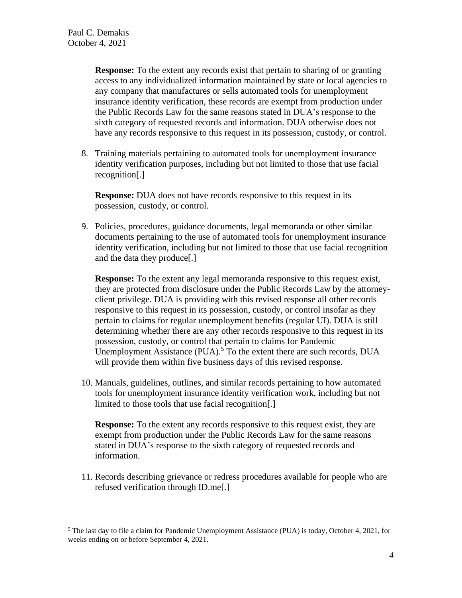**Response:** To the extent any records exist that pertain to sharing of or granting access to any individualized information maintained by state or local agencies to any company that manufactures or sells automated tools for unemployment insurance identity verification, these records are exempt from production under the Public Records Law for the same reasons stated in DUA's response to the sixth category of requested records and information. DUA otherwise does not have any records responsive to this request in its possession, custody, or control.

8. Training materials pertaining to automated tools for unemployment insurance identity verification purposes, including but not limited to those that use facial recognition[.]

**Response:** DUA does not have records responsive to this request in its possession, custody, or control.

9. Policies, procedures, guidance documents, legal memoranda or other similar documents pertaining to the use of automated tools for unemployment insurance identity verification, including but not limited to those that use facial recognition and the data they produce[.]

**Response:** To the extent any legal memoranda responsive to this request exist, they are protected from disclosure under the Public Records Law by the attorneyclient privilege. DUA is providing with this revised response all other records responsive to this request in its possession, custody, or control insofar as they pertain to claims for regular unemployment benefits (regular UI). DUA is still determining whether there are any other records responsive to this request in its possession, custody, or control that pertain to claims for Pandemic Unemployment Assistance  $(PUA)$ <sup>5</sup> To the extent there are such records, DUA will provide them within five business days of this revised response.

10. Manuals, guidelines, outlines, and similar records pertaining to how automated tools for unemployment insurance identity verification work, including but not limited to those tools that use facial recognition[.]

**Response:** To the extent any records responsive to this request exist, they are exempt from production under the Public Records Law for the same reasons stated in DUA's response to the sixth category of requested records and information.

11. Records describing grievance or redress procedures available for people who are refused verification through ID.me[.]

<sup>5</sup> The last day to file a claim for Pandemic Unemployment Assistance (PUA) is today, October 4, 2021, for weeks ending on or before September 4, 2021.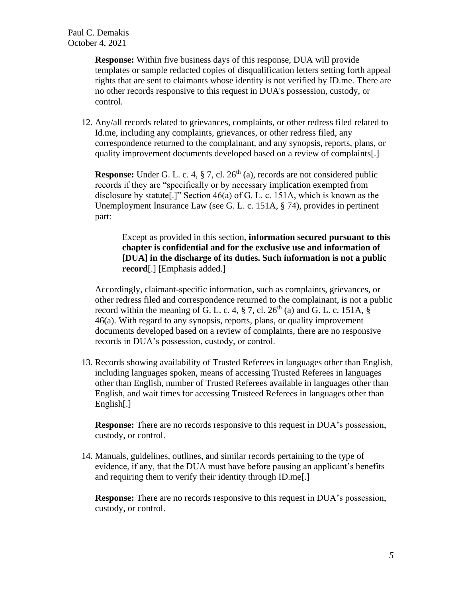**Response:** Within five business days of this response, DUA will provide templates or sample redacted copies of disqualification letters setting forth appeal rights that are sent to claimants whose identity is not verified by ID.me. There are no other records responsive to this request in DUA's possession, custody, or control.

12. Any/all records related to grievances, complaints, or other redress filed related to Id.me, including any complaints, grievances, or other redress filed, any correspondence returned to the complainant, and any synopsis, reports, plans, or quality improvement documents developed based on a review of complaints[.]

**Response:** Under G. L. c. 4,  $\S$  7, cl.  $26<sup>th</sup>$  (a), records are not considered public records if they are "specifically or by necessary implication exempted from disclosure by statute[.]" Section 46(a) of G. L. c. 151A, which is known as the Unemployment Insurance Law (see G. L. c. 151A, § 74), provides in pertinent part:

Except as provided in this section, **information secured pursuant to this chapter is confidential and for the exclusive use and information of [DUA] in the discharge of its duties. Such information is not a public record**[.] [Emphasis added.]

Accordingly, claimant-specific information, such as complaints, grievances, or other redress filed and correspondence returned to the complainant, is not a public record within the meaning of G. L. c. 4,  $\S$  7, cl. 26<sup>th</sup> (a) and G. L. c. 151A,  $\S$ 46(a). With regard to any synopsis, reports, plans, or quality improvement documents developed based on a review of complaints, there are no responsive records in DUA's possession, custody, or control.

13. Records showing availability of Trusted Referees in languages other than English, including languages spoken, means of accessing Trusted Referees in languages other than English, number of Trusted Referees available in languages other than English, and wait times for accessing Trusteed Referees in languages other than English[.]

**Response:** There are no records responsive to this request in DUA's possession, custody, or control.

14. Manuals, guidelines, outlines, and similar records pertaining to the type of evidence, if any, that the DUA must have before pausing an applicant's benefits and requiring them to verify their identity through ID.me[.]

**Response:** There are no records responsive to this request in DUA's possession, custody, or control.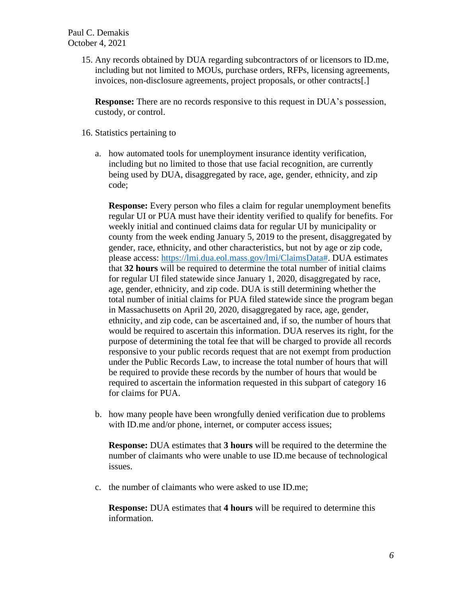15. Any records obtained by DUA regarding subcontractors of or licensors to ID.me, including but not limited to MOUs, purchase orders, RFPs, licensing agreements, invoices, non-disclosure agreements, project proposals, or other contracts[.]

**Response:** There are no records responsive to this request in DUA's possession, custody, or control.

- 16. Statistics pertaining to
	- a. how automated tools for unemployment insurance identity verification, including but no limited to those that use facial recognition, are currently being used by DUA, disaggregated by race, age, gender, ethnicity, and zip code;

**Response:** Every person who files a claim for regular unemployment benefits regular UI or PUA must have their identity verified to qualify for benefits. For weekly initial and continued claims data for regular UI by municipality or county from the week ending January 5, 2019 to the present, disaggregated by gender, race, ethnicity, and other characteristics, but not by age or zip code, please access: [https://lmi.dua.eol.mass.gov/lmi/ClaimsData#.](https://lmi.dua.eol.mass.gov/lmi/ClaimsData) DUA estimates that **32 hours** will be required to determine the total number of initial claims for regular UI filed statewide since January 1, 2020, disaggregated by race, age, gender, ethnicity, and zip code. DUA is still determining whether the total number of initial claims for PUA filed statewide since the program began in Massachusetts on April 20, 2020, disaggregated by race, age, gender, ethnicity, and zip code, can be ascertained and, if so, the number of hours that would be required to ascertain this information. DUA reserves its right, for the purpose of determining the total fee that will be charged to provide all records responsive to your public records request that are not exempt from production under the Public Records Law, to increase the total number of hours that will be required to provide these records by the number of hours that would be required to ascertain the information requested in this subpart of category 16 for claims for PUA.

b. how many people have been wrongfully denied verification due to problems with ID.me and/or phone, internet, or computer access issues;

**Response:** DUA estimates that **3 hours** will be required to the determine the number of claimants who were unable to use ID.me because of technological issues.

c. the number of claimants who were asked to use ID.me;

**Response:** DUA estimates that **4 hours** will be required to determine this information.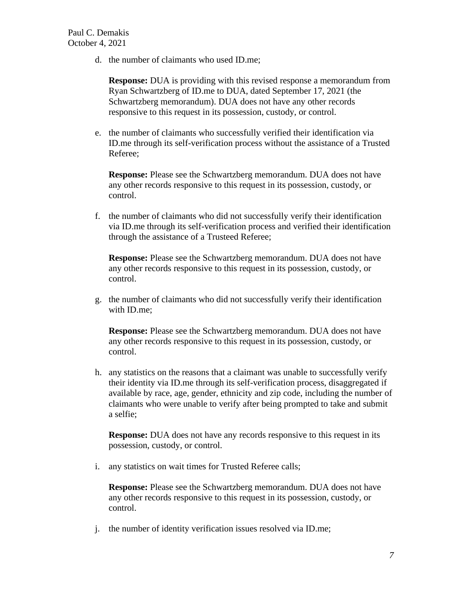d. the number of claimants who used ID.me;

**Response:** DUA is providing with this revised response a memorandum from Ryan Schwartzberg of ID.me to DUA, dated September 17, 2021 (the Schwartzberg memorandum). DUA does not have any other records responsive to this request in its possession, custody, or control.

e. the number of claimants who successfully verified their identification via ID.me through its self-verification process without the assistance of a Trusted Referee;

**Response:** Please see the Schwartzberg memorandum. DUA does not have any other records responsive to this request in its possession, custody, or control.

f. the number of claimants who did not successfully verify their identification via ID.me through its self-verification process and verified their identification through the assistance of a Trusteed Referee;

**Response:** Please see the Schwartzberg memorandum. DUA does not have any other records responsive to this request in its possession, custody, or control.

g. the number of claimants who did not successfully verify their identification with ID.me;

**Response:** Please see the Schwartzberg memorandum. DUA does not have any other records responsive to this request in its possession, custody, or control.

h. any statistics on the reasons that a claimant was unable to successfully verify their identity via ID.me through its self-verification process, disaggregated if available by race, age, gender, ethnicity and zip code, including the number of claimants who were unable to verify after being prompted to take and submit a selfie;

**Response:** DUA does not have any records responsive to this request in its possession, custody, or control.

i. any statistics on wait times for Trusted Referee calls;

**Response:** Please see the Schwartzberg memorandum. DUA does not have any other records responsive to this request in its possession, custody, or control.

j. the number of identity verification issues resolved via ID.me;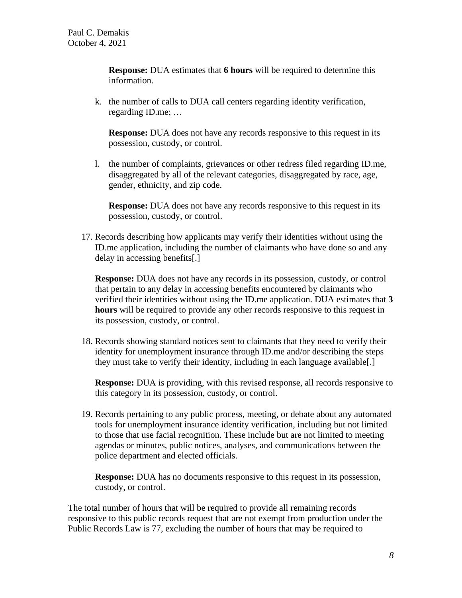**Response:** DUA estimates that **6 hours** will be required to determine this information.

k. the number of calls to DUA call centers regarding identity verification, regarding ID.me; …

**Response:** DUA does not have any records responsive to this request in its possession, custody, or control.

l. the number of complaints, grievances or other redress filed regarding ID.me, disaggregated by all of the relevant categories, disaggregated by race, age, gender, ethnicity, and zip code.

**Response:** DUA does not have any records responsive to this request in its possession, custody, or control.

17. Records describing how applicants may verify their identities without using the ID.me application, including the number of claimants who have done so and any delay in accessing benefits[.]

**Response:** DUA does not have any records in its possession, custody, or control that pertain to any delay in accessing benefits encountered by claimants who verified their identities without using the ID.me application. DUA estimates that **3 hours** will be required to provide any other records responsive to this request in its possession, custody, or control.

18. Records showing standard notices sent to claimants that they need to verify their identity for unemployment insurance through ID.me and/or describing the steps they must take to verify their identity, including in each language available[.]

**Response:** DUA is providing, with this revised response, all records responsive to this category in its possession, custody, or control.

19. Records pertaining to any public process, meeting, or debate about any automated tools for unemployment insurance identity verification, including but not limited to those that use facial recognition. These include but are not limited to meeting agendas or minutes, public notices, analyses, and communications between the police department and elected officials.

**Response:** DUA has no documents responsive to this request in its possession, custody, or control.

The total number of hours that will be required to provide all remaining records responsive to this public records request that are not exempt from production under the Public Records Law is 77, excluding the number of hours that may be required to